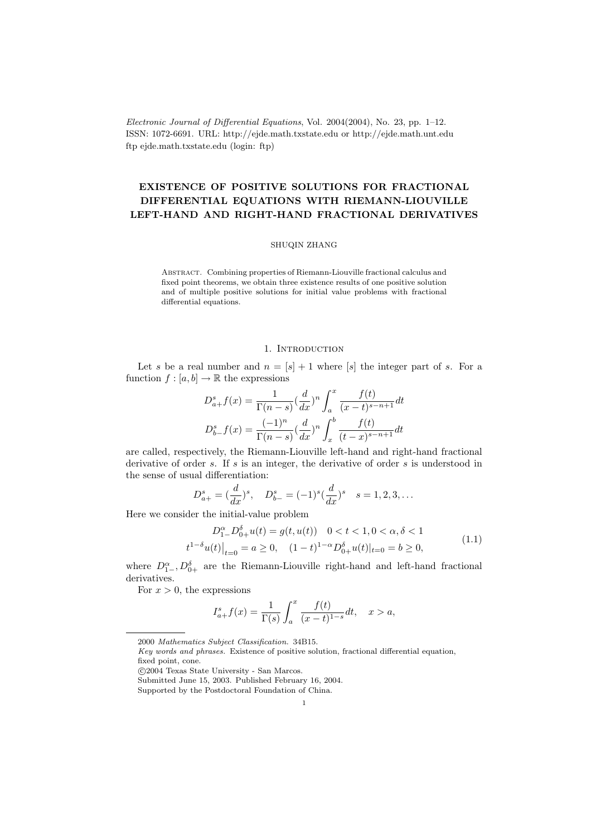Electronic Journal of Differential Equations, Vol. 2004(2004), No. 23, pp. 1–12. ISSN: 1072-6691. URL: http://ejde.math.txstate.edu or http://ejde.math.unt.edu ftp ejde.math.txstate.edu (login: ftp)

# EXISTENCE OF POSITIVE SOLUTIONS FOR FRACTIONAL DIFFERENTIAL EQUATIONS WITH RIEMANN-LIOUVILLE LEFT-HAND AND RIGHT-HAND FRACTIONAL DERIVATIVES

#### SHUQIN ZHANG

Abstract. Combining properties of Riemann-Liouville fractional calculus and fixed point theorems, we obtain three existence results of one positive solution and of multiple positive solutions for initial value problems with fractional differential equations.

## 1. INTRODUCTION

Let s be a real number and  $n = [s] + 1$  where [s] the integer part of s. For a function  $f : [a, b] \to \mathbb{R}$  the expressions

$$
D_{a+}^{s}f(x) = \frac{1}{\Gamma(n-s)} \left(\frac{d}{dx}\right)^n \int_a^x \frac{f(t)}{(x-t)^{s-n+1}} dt
$$
  

$$
D_{b-}^{s}f(x) = \frac{(-1)^n}{\Gamma(n-s)} \left(\frac{d}{dx}\right)^n \int_x^b \frac{f(t)}{(t-x)^{s-n+1}} dt
$$

are called, respectively, the Riemann-Liouville left-hand and right-hand fractional derivative of order s. If s is an integer, the derivative of order s is understood in the sense of usual differentiation:

$$
D_{a+}^s = (\frac{d}{dx})^s
$$
,  $D_{b-}^s = (-1)^s (\frac{d}{dx})^s$   $s = 1, 2, 3, ...$ 

Here we consider the initial-value problem

$$
D_{1-}^{\alpha}D_{0+}^{\delta}u(t) = g(t, u(t)) \quad 0 < t < 1, 0 < \alpha, \delta < 1
$$
  

$$
t^{1-\delta}u(t)\big|_{t=0} = a \ge 0, \quad (1-t)^{1-\alpha}D_{0+}^{\delta}u(t)\big|_{t=0} = b \ge 0,
$$
 (1.1)

where  $D_{1-}^{\alpha}$ ,  $D_{0+}^{\delta}$  are the Riemann-Liouville right-hand and left-hand fractional derivatives.

For  $x > 0$ , the expressions

$$
I_{a+}^{s}f(x) = \frac{1}{\Gamma(s)} \int_{a}^{x} \frac{f(t)}{(x-t)^{1-s}} dt, \quad x > a,
$$

<sup>2000</sup> Mathematics Subject Classification. 34B15.

Key words and phrases. Existence of positive solution, fractional differential equation, fixed point, cone.

c 2004 Texas State University - San Marcos.

Submitted June 15, 2003. Published February 16, 2004.

Supported by the Postdoctoral Foundation of China.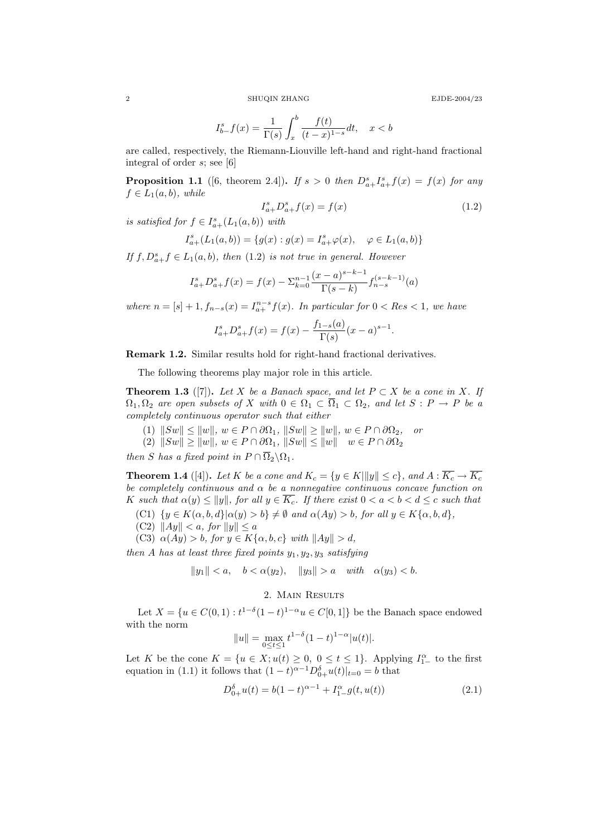2 SHUQIN ZHANG EJDE-2004/23

$$
I_{b-}^{s}f(x) = \frac{1}{\Gamma(s)} \int_{x}^{b} \frac{f(t)}{(t-x)^{1-s}} dt, \quad x < b
$$

are called, respectively, the Riemann-Liouville left-hand and right-hand fractional integral of order s; see [6]

**Proposition 1.1** ([6, theorem 2.4]). If  $s > 0$  then  $D_{a+}^s I_{a+}^s f(x) = f(x)$  for any  $f \in L_1(a, b)$ , while

$$
I_{a+}^s D_{a+}^s f(x) = f(x)
$$
\n(1.2)

is satisfied for  $f \in I_{a+}^s(L_1(a,b))$  with

$$
I_{a+}^{s}(L_1(a,b)) = \{g(x) : g(x) = I_{a+}^{s}\varphi(x), \quad \varphi \in L_1(a,b)\}
$$

If  $f, D_{a+}^s f \in L_1(a, b)$ , then (1.2) is not true in general. However

$$
I_{a+}^{s}D_{a+}^{s}f(x) = f(x) - \sum_{k=0}^{n-1} \frac{(x-a)^{s-k-1}}{\Gamma(s-k)} f_{n-s}^{(s-k-1)}(a)
$$

where  $n = [s] + 1, f_{n-s}(x) = I_{a+}^{n-s} f(x)$ . In particular for  $0 < Res < 1$ , we have

$$
I_{a+}^{s}D_{a+}^{s}f(x) = f(x) - \frac{f_{1-s}(a)}{\Gamma(s)}(x-a)^{s-1}.
$$

Remark 1.2. Similar results hold for right-hand fractional derivatives.

The following theorems play major role in this article.

**Theorem 1.3** ([7]). Let X be a Banach space, and let  $P \subset X$  be a cone in X. If  $\Omega_1, \Omega_2$  are open subsets of X with  $0 \in \Omega_1 \subset \overline{\Omega}_1 \subset \Omega_2$ , and let  $S : P \to P$  be a completely continuous operator such that either

- (1)  $||Sw|| \le ||w||$ ,  $w \in P \cap \partial \Omega_1$ ,  $||Sw|| \ge ||w||$ ,  $w \in P \cap \partial \Omega_2$ , or
- $(2)$   $||Sw|| \ge ||w||$ ,  $w \in P \cap \partial \Omega_1$ ,  $||Sw|| \le ||w||$   $w \in P \cap \partial \Omega_2$

then S has a fixed point in  $P \cap \overline{\Omega}_2 \backslash \Omega_1$ .

**Theorem 1.4** ([4]). Let K be a cone and  $K_c = \{y \in K | ||y|| \le c\}$ , and  $A: \overline{K_c} \to \overline{K_c}$ be completely continuous and  $\alpha$  be a nonnegative continuous concave function on K such that  $\alpha(y) \le ||y||$ , for all  $y \in \overline{K_c}$ . If there exist  $0 < a < b < d \le c$  such that

- (C1)  $\{y \in K(\alpha, b, d\} | \alpha(y) > b\} \neq \emptyset$  and  $\alpha(Ay) > b$ , for all  $y \in K\{\alpha, b, d\}$ ,
- (C2)  $||Ay|| < a$ , for  $||y|| \le a$
- (C3)  $\alpha(Ay) > b$ , for  $y \in K\{\alpha, b, c\}$  with  $||Ay|| > d$ ,

then A has at least three fixed points  $y_1, y_2, y_3$  satisfying

$$
||y_1|| < a, \quad b < \alpha(y_2), \quad ||y_3|| > a \quad with \quad \alpha(y_3) < b.
$$

### 2. Main Results

Let  $X = \{u \in C(0,1): t^{1-\delta}(1-t)^{1-\alpha}u \in C[0,1]\}$  be the Banach space endowed with the norm

$$
||u|| = \max_{0 \le t \le 1} t^{1-\delta} (1-t)^{1-\alpha} |u(t)|.
$$

Let K be the cone  $K = \{u \in X; u(t) \geq 0, 0 \leq t \leq 1\}$ . Applying  $I_{1-}^{\alpha}$  to the first equation in (1.1) it follows that  $(1-t)^{\alpha-1}D_{0+}^{\delta}u(t)|_{t=0}=b$  that

$$
D_{0+}^{\delta}u(t) = b(1-t)^{\alpha-1} + I_{1-}^{\alpha}g(t, u(t))
$$
\n(2.1)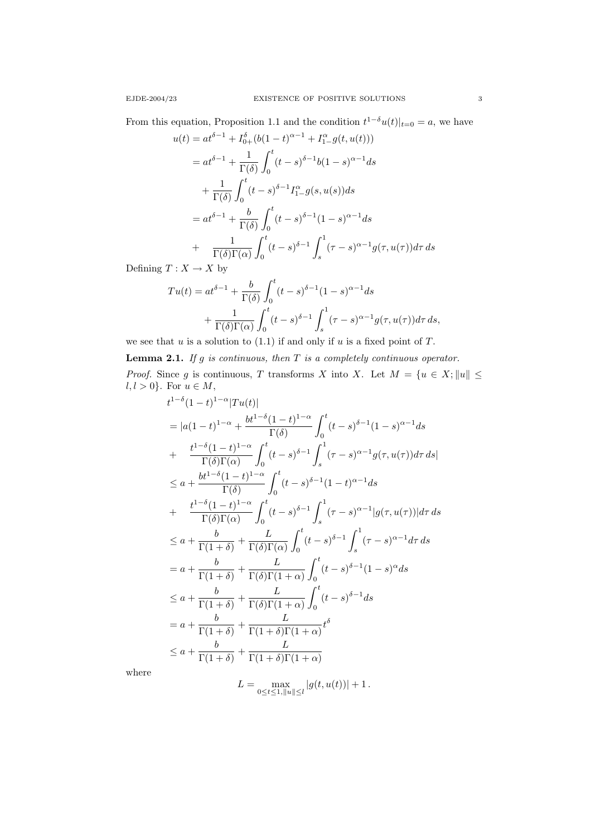From this equation, Proposition 1.1 and the condition  $t^{1-\delta}u(t)|_{t=0} = a$ , we have

$$
u(t) = at^{\delta - 1} + I_{0+}^{\delta} (b(1 - t)^{\alpha - 1} + I_{1-}^{\alpha} g(t, u(t)))
$$
  
\n
$$
= at^{\delta - 1} + \frac{1}{\Gamma(\delta)} \int_{0}^{t} (t - s)^{\delta - 1} b(1 - s)^{\alpha - 1} ds
$$
  
\n
$$
+ \frac{1}{\Gamma(\delta)} \int_{0}^{t} (t - s)^{\delta - 1} I_{1-}^{\alpha} g(s, u(s)) ds
$$
  
\n
$$
= at^{\delta - 1} + \frac{b}{\Gamma(\delta)} \int_{0}^{t} (t - s)^{\delta - 1} (1 - s)^{\alpha - 1} ds
$$
  
\n
$$
+ \frac{1}{\Gamma(\delta)\Gamma(\alpha)} \int_{0}^{t} (t - s)^{\delta - 1} \int_{s}^{1} (\tau - s)^{\alpha - 1} g(\tau, u(\tau)) d\tau ds
$$

Defining  $T: X \to X$  by

$$
Tu(t) = at^{\delta - 1} + \frac{b}{\Gamma(\delta)} \int_0^t (t - s)^{\delta - 1} (1 - s)^{\alpha - 1} ds
$$
  
+ 
$$
\frac{1}{\Gamma(\delta)\Gamma(\alpha)} \int_0^t (t - s)^{\delta - 1} \int_s^1 (\tau - s)^{\alpha - 1} g(\tau, u(\tau)) d\tau ds,
$$

we see that  $u$  is a solution to (1.1) if and only if  $u$  is a fixed point of  $T$ .

**Lemma 2.1.** If g is continuous, then  $T$  is a completely continuous operator. *Proof.* Since g is continuous, T transforms X into X. Let  $M = \{u \in X : ||u|| \leq$  $l, l > 0$ . For  $u \in M$ ,

$$
t^{1-\delta}(1-t)^{1-\alpha}|Tu(t)|
$$
  
\n
$$
= |a(1-t)^{1-\alpha} + \frac{bt^{1-\delta}(1-t)^{1-\alpha}}{\Gamma(\delta)} \int_0^t (t-s)^{\delta-1}(1-s)^{\alpha-1}ds
$$
  
\n
$$
+ \frac{t^{1-\delta}(1-t)^{1-\alpha}}{\Gamma(\delta)\Gamma(\alpha)} \int_0^t (t-s)^{\delta-1} \int_s^1 (\tau-s)^{\alpha-1}g(\tau,u(\tau))d\tau ds|
$$
  
\n
$$
\leq a + \frac{bt^{1-\delta}(1-t)^{1-\alpha}}{\Gamma(\delta)} \int_0^t (t-s)^{\delta-1}(1-t)^{\alpha-1}ds
$$
  
\n
$$
+ \frac{t^{1-\delta}(1-t)^{1-\alpha}}{\Gamma(\delta)\Gamma(\alpha)} \int_0^t (t-s)^{\delta-1} \int_s^1 (\tau-s)^{\alpha-1}|g(\tau,u(\tau))|d\tau ds
$$
  
\n
$$
\leq a + \frac{b}{\Gamma(1+\delta)} + \frac{L}{\Gamma(\delta)\Gamma(\alpha)} \int_0^t (t-s)^{\delta-1} \int_s^1 (\tau-s)^{\alpha-1}d\tau ds
$$
  
\n
$$
= a + \frac{b}{\Gamma(1+\delta)} + \frac{L}{\Gamma(\delta)\Gamma(1+\alpha)} \int_0^t (t-s)^{\delta-1}(1-s)^{\alpha}ds
$$
  
\n
$$
\leq a + \frac{b}{\Gamma(1+\delta)} + \frac{L}{\Gamma(\delta)\Gamma(1+\alpha)} \int_0^t (t-s)^{\delta-1}ds
$$
  
\n
$$
= a + \frac{b}{\Gamma(1+\delta)} + \frac{L}{\Gamma(1+\delta)\Gamma(1+\alpha)} t^{\delta}
$$
  
\n
$$
\leq a + \frac{b}{\Gamma(1+\delta)} + \frac{L}{\Gamma(1+\delta)\Gamma(1+\alpha)}
$$

where

$$
L = \max_{0 \le t \le 1, ||u|| \le l} |g(t, u(t))| + 1.
$$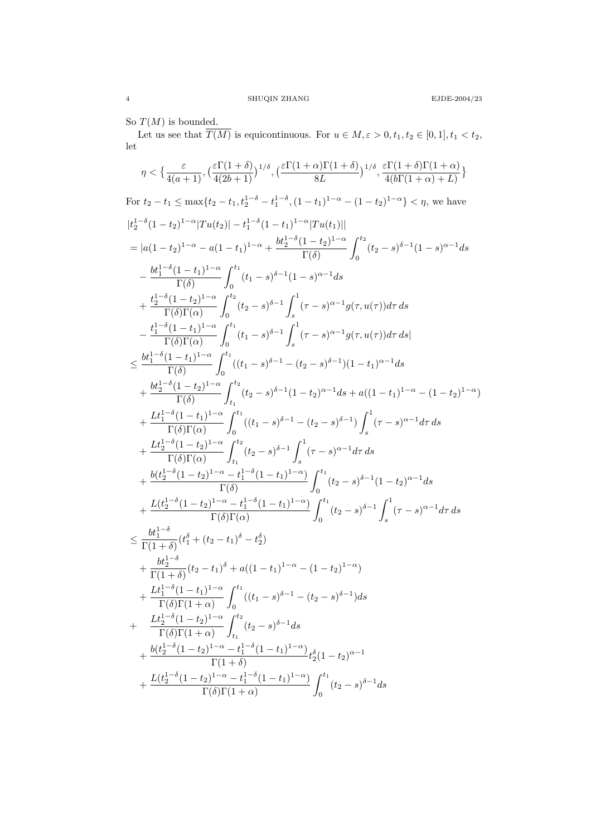So  $T(M)$  is bounded.

Let us see that  $\overline{T(M)}$  is equicontinuous. For  $u \in M, \varepsilon > 0, t_1, t_2 \in [0, 1], t_1 < t_2$ , let

$$
\eta < \big\{ \frac{\varepsilon}{4(a+1)}, \big(\frac{\varepsilon \Gamma(1+\delta)}{4(2b+1)}\big)^{1/\delta}, \big(\frac{\varepsilon \Gamma(1+\alpha) \Gamma(1+\delta)}{8L}\big)^{1/\delta}, \frac{\varepsilon \Gamma(1+\delta) \Gamma(1+\alpha)}{4(b\Gamma(1+\alpha)+L)}\big\}
$$

For  $t_2 - t_1 \le \max\{t_2 - t_1, t_2^{1-\delta} - t_1^{1-\delta}, (1 - t_1)^{1-\alpha} - (1 - t_2)^{1-\alpha}\} < \eta$ , we have  $|t_2^{1-\delta}(1-t_2)^{1-\alpha}|Tu(t_2)| - t_1^{1-\delta}(1-t_1)^{1-\alpha}|Tu(t_1)||$  $= |a(1-t_2)^{1-\alpha} - a(1-t_1)^{1-\alpha} + \frac{bt_2^{1-\delta}(1-t_2)^{1-\alpha}}{\Gamma(\delta)}$  $\Gamma(\delta)$  $\int_0^{t_2}$  $\int\limits_{0}^{1}(t_{2}-s)^{\delta-1}(1-s)^{\alpha-1}ds$  $-\frac{bt_1^{1-\delta}(1-t_1)^{1-\alpha}}{b(s)}$  $\Gamma(\delta)$  $\int_0^{t_1}$  $\int_{0}^{1} (t_1-s)^{\delta-1}(1-s)^{\alpha-1}ds$  $+\frac{t_2^{1-\delta}(1-t_2)^{1-\alpha}}{\Gamma(\Im \Gamma)}$  $\Gamma(\delta)\Gamma(\alpha)$  $\int_0^{t_2}$  $\int_0^{t_2} (t_2-s)^{\delta-1} \int_s^1$ s  $(\tau - s)^{\alpha - 1} g(\tau, u(\tau)) d\tau ds$  $-\frac{t_1^{1-\delta}(1-t_1)^{1-\alpha}}{\Gamma(\delta)\Gamma(\lambda)}$  $\Gamma(\delta)\Gamma(\alpha)$  $\int_0^{t_1}$  $\int_0^{t_1} (t_1-s)^{\delta-1} \int_s^1$ s  $(\tau - s)^{\alpha - 1} g(\tau, u(\tau)) d\tau ds$  $\leq \frac{bt_1^{1-\delta}(1-t_1)^{1-\alpha}}{D(S)}$  $\Gamma(\delta)$  $\int_0^{t_1}$  $\int_{0}^{1} ((t_1-s)^{\delta-1}-(t_2-s)^{\delta-1})(1-t_1)^{\alpha-1}ds$  $+\frac{bt_2^{1-\delta}(1-t_2)^{1-\alpha}}{D(S)}$  $\Gamma(\delta)$  $\int_0^{t_2}$  $t_1$  $(t_2-s)^{\delta-1}(1-t_2)^{\alpha-1}ds + a((1-t_1)^{1-\alpha} - (1-t_2)^{1-\alpha})$  $+\frac{Lt_1^{1-\delta}(1-t_1)^{1-\alpha}}{\Gamma(S)\Gamma(S)}$  $\Gamma(\delta)\Gamma(\alpha)$  $\int_0^{t_1}$  $\int_0^{t_1} ((t_1-s)^{\delta-1}-(t_2-s)^{\delta-1}) \int_s^1$ s  $(\tau - s)^{\alpha - 1} d\tau ds$  $+\frac{Lt_2^{1-\delta}(1-t_2)^{1-\alpha}}{\Gamma(\delta)\Gamma(\Delta)}$  $\Gamma(\delta)\Gamma(\alpha)$  $\int_0^{t_2}$  $t_1$  $(t_2 - s)^{\delta - 1}$ s  $(\tau - s)^{\alpha - 1} d\tau ds$  $+\frac{b(t_2^{1-\delta}(1-t_2)^{1-\alpha}-t_1^{1-\delta}(1-t_1)^{1-\alpha})}{\Gamma(\delta)}$  $\Gamma(\delta)$  $\int_0^{t_1}$  $\int_{0}^{1}(t_2-s)^{\delta-1}(1-t_2)^{\alpha-1}ds$  $+\frac{L(t_2^{1-\delta}(1-t_2)^{1-\alpha}-t_1^{1-\delta}(1-t_1)^{1-\alpha})}{L(\delta D(\Delta))}$  $\Gamma(\delta)\Gamma(\alpha)$  $\int_0^{t_1}$  $\int_0^{t_1} (t_2-s)^{\delta-1} \int_s^1$ s  $(\tau - s)^{\alpha - 1} d\tau ds$  $\leq \frac{bt_1^{1-\delta}}{\Gamma(1)}$  $\frac{\partial{t_1}}{\Gamma(1+\delta)}(t_1^{\delta}+(t_2-t_1)^{\delta}-t_2^{\delta})$  $+\frac{bt_2^{1-\delta}}{\Gamma(1)}$  $\frac{a_2}{\Gamma(1+\delta)}(t_2-t_1)^{\delta} + a((1-t_1)^{1-\alpha} - (1-t_2)^{1-\alpha})$  $+\frac{Lt_1^{1-\delta}(1-t_1)^{1-\alpha}}{\Gamma(S)\Gamma(1+\alpha)}$  $\Gamma(\delta)\Gamma(1+\alpha)$  $\int_0^{t_1}$  $\int\limits_{0}^{1}( (t_{1}-s)^{\delta-1}- (t_{2}-s)^{\delta-1})ds$ +  $\frac{Lt_2^{1-\delta}(1-t_2)^{1-\alpha}}{D(S)D(1+\alpha)}$  $\Gamma(\delta)\Gamma(1+\alpha)$  $\int_0^{t_2}$  $t_1$  $(t_2-s)^{\delta-1}ds$  $+\frac{b(t_2^{1-\delta}(1-t_2)^{1-\alpha}-t_1^{1-\delta}(1-t_1)^{1-\alpha})}{\Gamma(1-\delta)}$  $\frac{(-\epsilon_1 - \epsilon_1)}{\Gamma(1+\delta)} t_2^{\delta} (1-t_2)^{\alpha-1}$  $+\frac{L(t_2^{1-\delta}(1-t_2)^{1-\alpha}-t_1^{1-\delta}(1-t_1)^{1-\alpha})}{L(\delta)L(1-\delta)}$  $\Gamma(\delta)\Gamma(1+\alpha)$  $\int_0^{t_1}$  $\int_{0}^{t} (t_2-s)^{\delta-1} ds$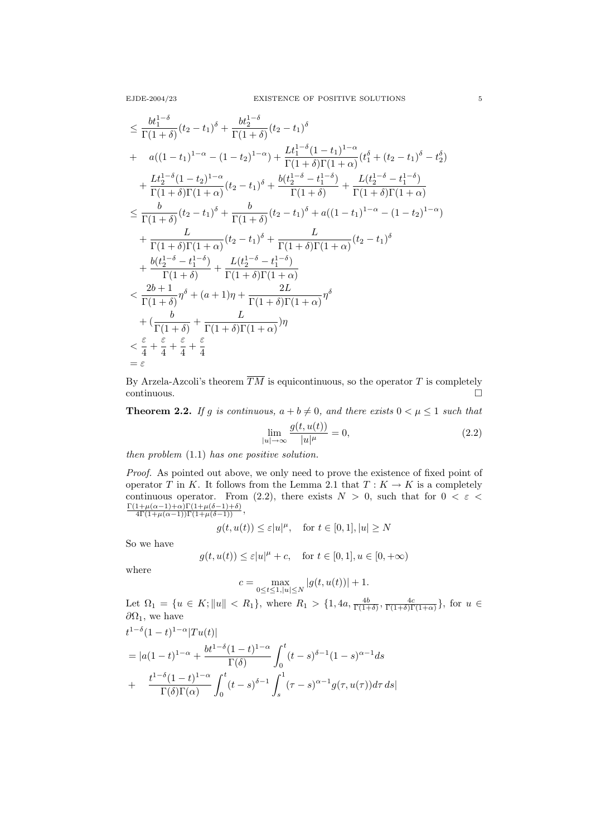$$
\leq \frac{bt_1^{1-\delta}}{\Gamma(1+\delta)}(t_2-t_1)^{\delta} + \frac{bt_2^{1-\delta}}{\Gamma(1+\delta)}(t_2-t_1)^{\delta}
$$
\n+  $a((1-t_1)^{1-\alpha} - (1-t_2)^{1-\alpha}) + \frac{Lt_1^{1-\delta}(1-t_1)^{1-\alpha}}{\Gamma(1+\delta)\Gamma(1+\alpha)}(t_1^{\delta} + (t_2-t_1)^{\delta} - t_2^{\delta})$ \n+  $\frac{Lt_2^{1-\delta}(1-t_2)^{1-\alpha}}{\Gamma(1+\delta)\Gamma(1+\alpha)}(t_2-t_1)^{\delta} + \frac{b(t_2^{1-\delta}-t_1^{1-\delta})}{\Gamma(1+\delta)} + \frac{L(t_2^{1-\delta}-t_1^{1-\delta})}{\Gamma(1+\delta)\Gamma(1+\alpha)}$ \n
$$
\leq \frac{b}{\Gamma(1+\delta)}(t_2-t_1)^{\delta} + \frac{b}{\Gamma(1+\delta)}(t_2-t_1)^{\delta} + a((1-t_1)^{1-\alpha} - (1-t_2)^{1-\alpha})
$$
\n+  $\frac{L}{\Gamma(1+\delta)\Gamma(1+\alpha)}(t_2-t_1)^{\delta} + \frac{L}{\Gamma(1+\delta)\Gamma(1+\alpha)}(t_2-t_1)^{\delta}$ \n+  $\frac{bt_2^{1-\delta}-t_1^{1-\delta}}{\Gamma(1+\delta)} + \frac{L(t_2^{1-\delta}-t_1^{1-\delta})}{\Gamma(1+\delta)} + \frac{L(t_2^{1-\delta}-t_1^{1-\delta})}{\Gamma(1+\delta)\Gamma(1+\alpha)}$ \n
$$
< \frac{2b+1}{\Gamma(1+\delta)}\eta^{\delta} + (a+1)\eta + \frac{2L}{\Gamma(1+\delta)\Gamma(1+\alpha)}\eta^{\delta}
$$
\n+  $(\frac{b}{\Gamma(1+\delta)} + \frac{L}{\Gamma(1+\delta)\Gamma(1+\alpha)})\eta$ \n
$$
< \frac{\varepsilon}{4} + \frac{\varepsilon}{4} + \frac{\varepsilon}{4} + \frac{\varepsilon}{4} + \frac{\varepsilon}{4}
$$
\n=  $\varepsilon$ 

By Arzela-Azcoli's theorem  $\overline{TM}$  is equicontinuous, so the operator T is completely  $\Box$ continuous.

**Theorem 2.2.** If g is continuous,  $a + b \neq 0$ , and there exists  $0 < \mu \leq 1$  such that

$$
\lim_{|u| \to \infty} \frac{g(t, u(t))}{|u|^{\mu}} = 0,
$$
\n(2.2)

then problem (1.1) has one positive solution.

Proof. As pointed out above, we only need to prove the existence of fixed point of operator T in K. It follows from the Lemma 2.1 that  $T: K \to K$  is a completely continuous operator. From (2.2), there exists  $N > 0$ , such that for  $0 < \varepsilon$  $\frac{\Gamma(1+\mu(\alpha-1)+\alpha)\Gamma(1+\mu(\delta-1)+\delta)}{4\Gamma(1+\mu(\alpha-1))\Gamma(1+\mu(\delta-1))},$ 

$$
g(t, u(t)) \le \varepsilon |u|^{\mu}, \text{ for } t \in [0, 1], |u| \ge N
$$

So we have

$$
g(t, u(t)) \le \varepsilon |u|^{\mu} + c, \quad \text{for } t \in [0, 1], u \in [0, +\infty)
$$

where

$$
c = \max_{0 \le t \le 1, |u| \le N} |g(t, u(t))| + 1.
$$

Let  $\Omega_1 = \{u \in K; ||u|| < R_1\}$ , where  $R_1 > \{1, 4a, \frac{4b}{\Gamma(1+\delta)}, \frac{4c}{\Gamma(1+\delta)\Gamma(1+\alpha)}\}$ , for  $u \in$  $\partial\Omega_1$ , we have

$$
t^{1-\delta}(1-t)^{1-\alpha}|Tu(t)|
$$
  
=  $|a(1-t)^{1-\alpha} + \frac{bt^{1-\delta}(1-t)^{1-\alpha}}{\Gamma(\delta)} \int_0^t (t-s)^{\delta-1}(1-s)^{\alpha-1}ds$   
+  $\frac{t^{1-\delta}(1-t)^{1-\alpha}}{\Gamma(\delta)\Gamma(\alpha)} \int_0^t (t-s)^{\delta-1} \int_s^1 (\tau-s)^{\alpha-1} g(\tau, u(\tau)) d\tau ds|$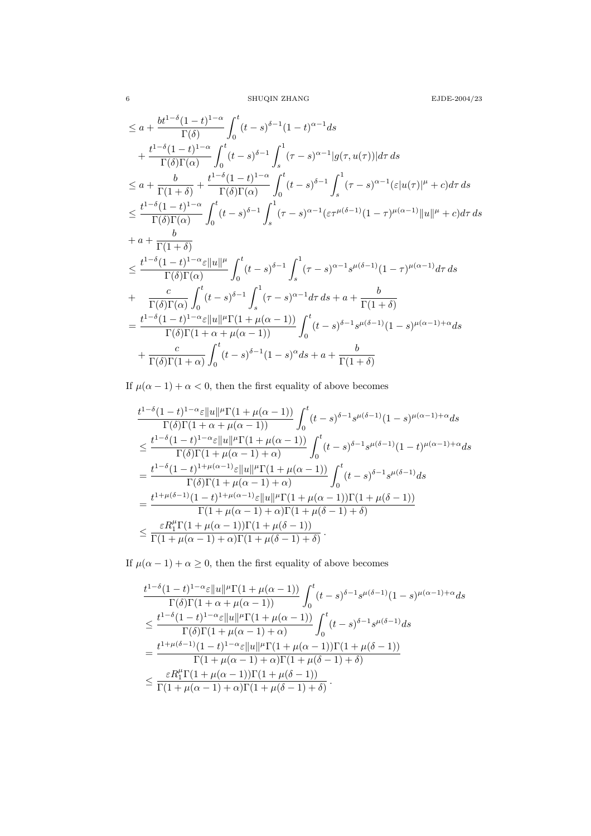$6$   $\,$  SHUQIN ZHANG  $\,$   $\,$  EJDE-2004/23  $\,$ 

$$
\leq a + \frac{bt^{1-\delta}(1-t)^{1-\alpha}}{\Gamma(\delta)} \int_0^t (t-s)^{\delta-1}(1-t)^{\alpha-1}ds
$$
  
+ 
$$
\frac{t^{1-\delta}(1-t)^{1-\alpha}}{\Gamma(\delta)\Gamma(\alpha)} \int_0^t (t-s)^{\delta-1} \int_s^1 (\tau-s)^{\alpha-1} |g(\tau,u(\tau))| d\tau ds
$$
  

$$
\leq a + \frac{b}{\Gamma(1+\delta)} + \frac{t^{1-\delta}(1-t)^{1-\alpha}}{\Gamma(\delta)\Gamma(\alpha)} \int_0^t (t-s)^{\delta-1} \int_s^1 (\tau-s)^{\alpha-1} (\varepsilon |u(\tau)|^{\mu} + c) d\tau ds
$$
  

$$
\leq \frac{t^{1-\delta}(1-t)^{1-\alpha}}{\Gamma(\delta)\Gamma(\alpha)} \int_0^t (t-s)^{\delta-1} \int_s^1 (\tau-s)^{\alpha-1} (\varepsilon \tau^{\mu(\delta-1)}(1-\tau)^{\mu(\alpha-1)} ||u||^{\mu} + c) d\tau ds
$$
  
+ 
$$
a + \frac{b}{\Gamma(1+\delta)}
$$
  

$$
\leq \frac{t^{1-\delta}(1-t)^{1-\alpha} \varepsilon ||u||^{\mu}}{\Gamma(\delta)\Gamma(\alpha)} \int_0^t (t-s)^{\delta-1} \int_s^1 (\tau-s)^{\alpha-1} s^{\mu(\delta-1)} (1-\tau)^{\mu(\alpha-1)} d\tau ds
$$
  
+ 
$$
\frac{c}{\Gamma(\delta)\Gamma(\alpha)} \int_0^t (t-s)^{\delta-1} \int_s^1 (\tau-s)^{\alpha-1} d\tau ds + a + \frac{b}{\Gamma(1+\delta)}
$$
  

$$
= \frac{t^{1-\delta}(1-t)^{1-\alpha} \varepsilon ||u||^{\mu} \Gamma(1 + \mu(\alpha - 1))}{\Gamma(\delta)\Gamma(1+\alpha+\mu(\alpha-1))} \int_0^t (t-s)^{\delta-1} s^{\mu(\delta-1)} (1-s)^{\mu(\alpha-1)+\alpha} ds
$$
  
+ 
$$
\frac{c}{\Gamma(\delta)\Gamma(1+\alpha)} \int_0^t (t-s)^{\delta-1} (1-s)^{\alpha} ds + a + \frac{b}{\Gamma(1+\delta)}
$$

If  $\mu(\alpha-1)+\alpha<0,$  then the first equality of above becomes

$$
\begin{aligned} &\frac{t^{1-\delta}(1-t)^{1-\alpha}\varepsilon\|u\|^{\mu}\Gamma(1+\mu(\alpha-1))}{\Gamma(\delta)\Gamma(1+\alpha+\mu(\alpha-1))}\int_0^t (t-s)^{\delta-1}s^{\mu(\delta-1)}(1-s)^{\mu(\alpha-1)+\alpha}ds\\ &\leq \frac{t^{1-\delta}(1-t)^{1-\alpha}\varepsilon\|u\|^{\mu}\Gamma(1+\mu(\alpha-1))}{\Gamma(\delta)\Gamma(1+\mu(\alpha-1)+\alpha)}\int_0^t (t-s)^{\delta-1}s^{\mu(\delta-1)}(1-t)^{\mu(\alpha-1)+\alpha}ds\\ &=\frac{t^{1-\delta}(1-t)^{1+\mu(\alpha-1)}\varepsilon\|u\|^{\mu}\Gamma(1+\mu(\alpha-1))}{\Gamma(\delta)\Gamma(1+\mu(\alpha-1)+\alpha)}\int_0^t (t-s)^{\delta-1}s^{\mu(\delta-1)}ds\\ &=\frac{t^{1+\mu(\delta-1)}(1-t)^{1+\mu(\alpha-1)}\varepsilon\|u\|^{\mu}\Gamma(1+\mu(\alpha-1))\Gamma(1+\mu(\delta-1))}{\Gamma(1+\mu(\alpha-1)+\alpha)\Gamma(1+\mu(\delta-1)+\delta)}\\ &\leq \frac{\varepsilon R_1^\mu\Gamma(1+\mu(\alpha-1))\Gamma(1+\mu(\delta-1))}{\Gamma(1+\mu(\alpha-1)+\alpha)\Gamma(1+\mu(\delta-1)+\delta)}. \end{aligned}
$$

If  $\mu(\alpha - 1) + \alpha \ge 0$ , then the first equality of above becomes

$$
\begin{aligned} &\frac{t^{1-\delta}(1-t)^{1-\alpha}\varepsilon\|u\|^{\mu}\Gamma(1+\mu(\alpha-1))}{\Gamma(\delta)\Gamma(1+\alpha+\mu(\alpha-1))}\int_0^t (t-s)^{\delta-1}s^{\mu(\delta-1)}(1-s)^{\mu(\alpha-1)+\alpha}ds\\ &\leq \frac{t^{1-\delta}(1-t)^{1-\alpha}\varepsilon\|u\|^{\mu}\Gamma(1+\mu(\alpha-1))}{\Gamma(\delta)\Gamma(1+\mu(\alpha-1)+\alpha)}\int_0^t (t-s)^{\delta-1}s^{\mu(\delta-1)}ds\\ &=\frac{t^{1+\mu(\delta-1)}(1-t)^{1-\alpha}\varepsilon\|u\|^{\mu}\Gamma(1+\mu(\alpha-1))\Gamma(1+\mu(\delta-1))}{\Gamma(1+\mu(\alpha-1)+\alpha)\Gamma(1+\mu(\delta-1)+\delta)}\\ &\leq \frac{\varepsilon R_1^{\mu}\Gamma(1+\mu(\alpha-1))\Gamma(1+\mu(\delta-1))}{\Gamma(1+\mu(\alpha-1)+\alpha)\Gamma(1+\mu(\delta-1)+\delta)}.\end{aligned}
$$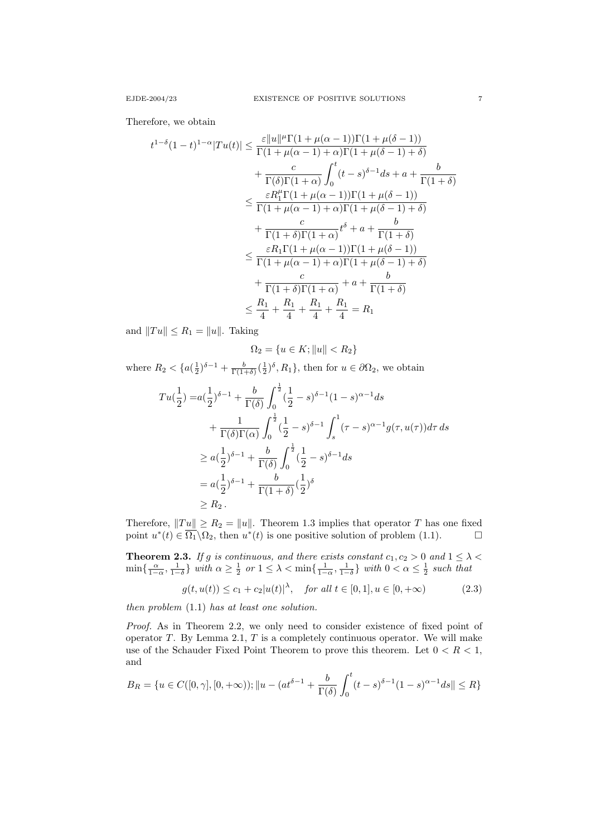Therefore, we obtain

$$
t^{1-\delta}(1-t)^{1-\alpha}|Tu(t)| \leq \frac{\varepsilon ||u||^{\mu}\Gamma(1+\mu(\alpha-1))\Gamma(1+\mu(\delta-1))}{\Gamma(1+\mu(\alpha-1)+\alpha)\Gamma(1+\mu(\delta-1)+\delta)}
$$
  
+ 
$$
\frac{c}{\Gamma(\delta)\Gamma(1+\alpha)} \int_{0}^{t} (t-s)^{\delta-1}ds + a + \frac{b}{\Gamma(1+\delta)}
$$
  

$$
\leq \frac{\varepsilon R_{1}^{\mu}\Gamma(1+\mu(\alpha-1))\Gamma(1+\mu(\delta-1))}{\Gamma(1+\mu(\alpha-1)+\alpha)\Gamma(1+\mu(\delta-1)+\delta)}
$$
  
+ 
$$
\frac{c}{\Gamma(1+\delta)\Gamma(1+\alpha)}t^{\delta} + a + \frac{b}{\Gamma(1+\delta)}
$$
  

$$
\leq \frac{\varepsilon R_{1}\Gamma(1+\mu(\alpha-1))\Gamma(1+\mu(\delta-1))}{\Gamma(1+\mu(\alpha-1)+\alpha)\Gamma(1+\mu(\delta-1)+\delta)}
$$
  
+ 
$$
\frac{c}{\Gamma(1+\delta)\Gamma(1+\alpha)} + a + \frac{b}{\Gamma(1+\delta)}
$$
  

$$
\leq \frac{R_{1}}{4} + \frac{R_{1}}{4} + \frac{R_{1}}{4} + \frac{R_{1}}{4} = R_{1}
$$

and  $||Tu|| \leq R_1 = ||u||$ . Taking

$$
\Omega_2 = \{ u \in K; ||u|| < R_2 \}
$$

where  $R_2 < \{a(\frac{1}{2})^{\delta-1} + \frac{b}{\Gamma(1+\delta)}(\frac{1}{2})^{\delta}, R_1\}$ , then for  $u \in \partial\Omega_2$ , we obtain

$$
Tu(\frac{1}{2}) = a(\frac{1}{2})^{\delta - 1} + \frac{b}{\Gamma(\delta)} \int_0^{\frac{1}{2}} (\frac{1}{2} - s)^{\delta - 1} (1 - s)^{\alpha - 1} ds
$$
  
+ 
$$
\frac{1}{\Gamma(\delta)\Gamma(\alpha)} \int_0^{\frac{1}{2}} (\frac{1}{2} - s)^{\delta - 1} \int_s^1 (\tau - s)^{\alpha - 1} g(\tau, u(\tau)) d\tau ds
$$
  

$$
\geq a(\frac{1}{2})^{\delta - 1} + \frac{b}{\Gamma(\delta)} \int_0^{\frac{1}{2}} (\frac{1}{2} - s)^{\delta - 1} ds
$$
  

$$
= a(\frac{1}{2})^{\delta - 1} + \frac{b}{\Gamma(1 + \delta)} (\frac{1}{2})^{\delta}
$$
  

$$
\geq R_2.
$$

Therefore,  $||Tu|| \ge R_2 = ||u||$ . Theorem 1.3 implies that operator T has one fixed point  $u^*(t) \in \overline{\Omega_1} \backslash \Omega_2$ , then  $u^*(t)$  is one positive solution of problem (1.1).

**Theorem 2.3.** If g is continuous, and there exists constant  $c_1, c_2 > 0$  and  $1 \leq \lambda <$  $\min\{\frac{\alpha}{1-\alpha},\frac{1}{1-\delta}\}\$  with  $\alpha\geq\frac{1}{2}$  or  $1\leq\lambda<\min\{\frac{1}{1-\alpha},\frac{1}{1-\delta}\}\$  with  $0<\alpha\leq\frac{1}{2}$  such that

$$
g(t, u(t)) \le c_1 + c_2 |u(t)|^{\lambda}, \quad \text{for all } t \in [0, 1], u \in [0, +\infty)
$$
 (2.3)

then problem (1.1) has at least one solution.

Proof. As in Theorem 2.2, we only need to consider existence of fixed point of operator  $T$ . By Lemma 2.1,  $T$  is a completely continuous operator. We will make use of the Schauder Fixed Point Theorem to prove this theorem. Let  $0 < R < 1$ , and

$$
B_R = \{ u \in C([0, \gamma], [0, +\infty)) ; ||u - (at^{\delta - 1} + \frac{b}{\Gamma(\delta)} \int_0^t (t - s)^{\delta - 1} (1 - s)^{\alpha - 1} ds || \le R \}
$$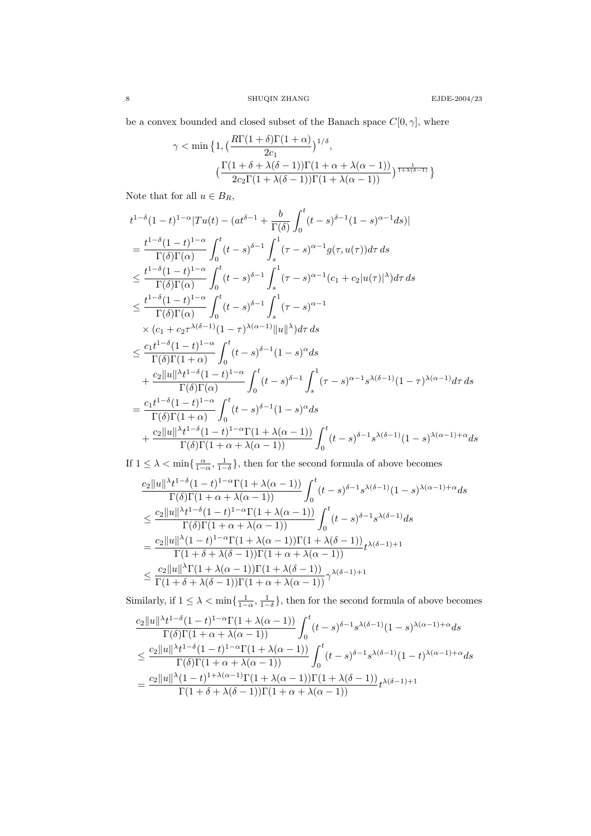be a convex bounded and closed subset of the Banach space  $C[0,\gamma],$  where

$$
\gamma < \min\big\{1, \big(\frac{R\Gamma(1+\delta)\Gamma(1+\alpha)}{2c_1}\big)^{1/\delta}, \big(\frac{\Gamma(1+\delta+\lambda(\delta-1))\Gamma(1+\alpha+\lambda(\alpha-1))}{2c_2\Gamma(1+\lambda(\delta-1))\Gamma(1+\lambda(\alpha-1))}\big)^{\frac{1}{1+\lambda(\delta-1)}}\big\}
$$

Note that for all  $u \in B_R$ ,

$$
t^{1-\delta}(1-t)^{1-\alpha}|Tu(t) - (at^{\delta-1} + \frac{b}{\Gamma(\delta)} \int_0^t (t-s)^{\delta-1}(1-s)^{\alpha-1}ds)|
$$
  
\n
$$
= \frac{t^{1-\delta}(1-t)^{1-\alpha}}{\Gamma(\delta)\Gamma(\alpha)} \int_0^t (t-s)^{\delta-1} \int_s^1 (\tau-s)^{\alpha-1} g(\tau, u(\tau))d\tau ds
$$
  
\n
$$
\leq \frac{t^{1-\delta}(1-t)^{1-\alpha}}{\Gamma(\delta)\Gamma(\alpha)} \int_0^t (t-s)^{\delta-1} \int_s^1 (\tau-s)^{\alpha-1} (c_1+c_2|u(\tau)|^{\lambda})d\tau ds
$$
  
\n
$$
\leq \frac{t^{1-\delta}(1-t)^{1-\alpha}}{\Gamma(\delta)\Gamma(\alpha)} \int_0^t (t-s)^{\delta-1} \int_s^1 (\tau-s)^{\alpha-1}
$$
  
\n
$$
\times (c_1+c_2\tau^{\lambda(\delta-1)}(1-\tau)^{\lambda(\alpha-1)}||u||^{\lambda})d\tau ds
$$
  
\n
$$
\leq \frac{c_1t^{1-\delta}(1-t)^{1-\alpha}}{\Gamma(\delta)\Gamma(1+\alpha)} \int_0^t (t-s)^{\delta-1}(1-s)^{\alpha} ds
$$
  
\n
$$
+ \frac{c_2||u||^{\lambda}t^{1-\delta}(1-t)^{1-\alpha}}{\Gamma(\delta)\Gamma(\alpha)} \int_0^t (t-s)^{\delta-1} \int_s^1 (\tau-s)^{\alpha-1} s^{\lambda(\delta-1)}(1-\tau)^{\lambda(\alpha-1)} d\tau ds
$$
  
\n
$$
= \frac{c_1t^{1-\delta}(1-t)^{1-\alpha}}{\Gamma(\delta)\Gamma(1+\alpha)} \int_0^t (t-s)^{\delta-1}(1-s)^{\alpha} ds
$$
  
\n
$$
+ \frac{c_2||u||^{\lambda}t^{1-\delta}(1-t)^{1-\alpha}\Gamma(1+\lambda(\alpha-1))}{\Gamma(\delta)\Gamma(1+\alpha+\lambda(\alpha-1))} \int_0^t (t-s)^{\delta-1} s^{\lambda(\delta-1)}(1-s)^{\lambda(\alpha-1)+\alpha} ds
$$

If  $1 \leq \lambda < \min\{\frac{\alpha}{1-\alpha}, \frac{1}{1-\delta}\}\$ , then for the second formula of above becomes

$$
\begin{aligned} &\frac{c_2\|u\|^{\lambda}t^{1-\delta}(1-t)^{1-\alpha}\Gamma(1+\lambda(\alpha-1))}{\Gamma(\delta)\Gamma(1+\alpha+\lambda(\alpha-1))}\int_0^t (t-s)^{\delta-1}s^{\lambda(\delta-1)}(1-s)^{\lambda(\alpha-1)+\alpha}ds\\ &\leq \frac{c_2\|u\|^{\lambda}t^{1-\delta}(1-t)^{1-\alpha}\Gamma(1+\lambda(\alpha-1))}{\Gamma(\delta)\Gamma(1+\alpha+\lambda(\alpha-1))}\int_0^t (t-s)^{\delta-1}s^{\lambda(\delta-1)}ds\\ &=\frac{c_2\|u\|^{\lambda}(1-t)^{1-\alpha}\Gamma(1+\lambda(\alpha-1))\Gamma(1+\lambda(\delta-1))}{\Gamma(1+\delta+\lambda(\delta-1))\Gamma(1+\alpha+\lambda(\alpha-1))}t^{\lambda(\delta-1)+1}\\ &\leq \frac{c_2\|u\|^{\lambda}\Gamma(1+\lambda(\alpha-1))\Gamma(1+\lambda(\delta-1))}{\Gamma(1+\delta+\lambda(\delta-1))\Gamma(1+\alpha+\lambda(\alpha-1))}\gamma^{\lambda(\delta-1)+1}\end{aligned}
$$

Similarly, if  $1 \leq \lambda < \min\{\frac{1}{1-\alpha}, \frac{1}{1-\delta}\}\$ , then for the second formula of above becomes

$$
\frac{c_2||u||^{\lambda}t^{1-\delta}(1-t)^{1-\alpha}\Gamma(1+\lambda(\alpha-1))}{\Gamma(\delta)\Gamma(1+\alpha+\lambda(\alpha-1))}\int_0^t (t-s)^{\delta-1}s^{\lambda(\delta-1)}(1-s)^{\lambda(\alpha-1)+\alpha}ds
$$
  

$$
\leq \frac{c_2||u||^{\lambda}t^{1-\delta}(1-t)^{1-\alpha}\Gamma(1+\lambda(\alpha-1))}{\Gamma(\delta)\Gamma(1+\alpha+\lambda(\alpha-1))}\int_0^t (t-s)^{\delta-1}s^{\lambda(\delta-1)}(1-t)^{\lambda(\alpha-1)+\alpha}ds
$$
  

$$
=\frac{c_2||u||^{\lambda}(1-t)^{1+\lambda(\alpha-1)}\Gamma(1+\lambda(\alpha-1))\Gamma(1+\lambda(\delta-1))}{\Gamma(1+\delta+\lambda(\delta-1))\Gamma(1+\alpha+\lambda(\alpha-1))}t^{\lambda(\delta-1)+1}
$$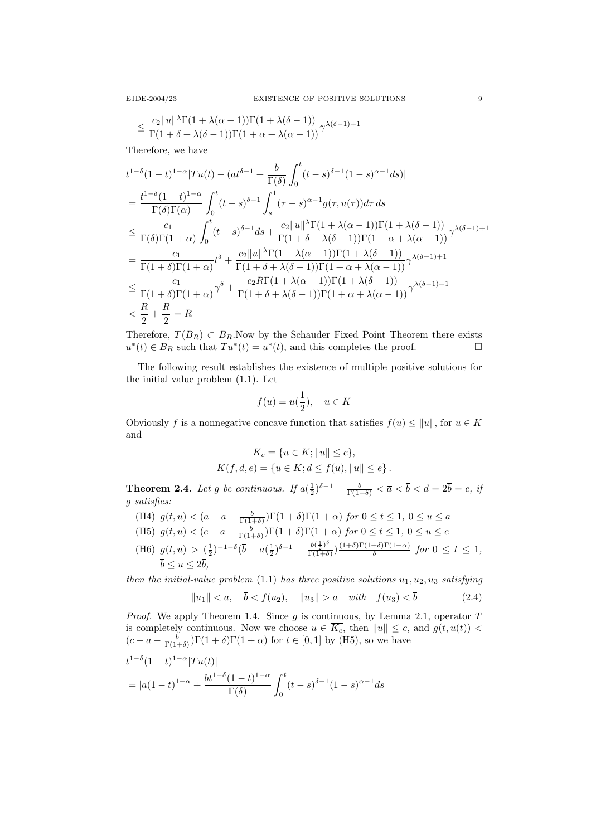$$
\leq \frac{c_2 \|u\|^{\lambda} \Gamma(1+\lambda(\alpha-1)) \Gamma(1+\lambda(\delta-1))}{\Gamma(1+\delta+\lambda(\delta-1)) \Gamma(1+\alpha+\lambda(\alpha-1))} \gamma^{\lambda(\delta-1)+1}
$$

Therefore, we have

$$
t^{1-\delta}(1-t)^{1-\alpha}|Tu(t) - (at^{\delta-1} + \frac{b}{\Gamma(\delta)} \int_0^t (t-s)^{\delta-1}(1-s)^{\alpha-1}ds)|
$$
  
\n
$$
= \frac{t^{1-\delta}(1-t)^{1-\alpha}}{\Gamma(\delta)\Gamma(\alpha)} \int_0^t (t-s)^{\delta-1} \int_s^1 (\tau-s)^{\alpha-1} g(\tau, u(\tau)) d\tau ds
$$
  
\n
$$
\leq \frac{c_1}{\Gamma(\delta)\Gamma(1+\alpha)} \int_0^t (t-s)^{\delta-1} ds + \frac{c_2 ||u||^{\lambda}\Gamma(1+\lambda(\alpha-1))\Gamma(1+\lambda(\delta-1))}{\Gamma(1+\delta+\lambda(\delta-1))\Gamma(1+\alpha+\lambda(\alpha-1))} \gamma^{\lambda(\delta-1)+1}
$$
  
\n
$$
= \frac{c_1}{\Gamma(1+\delta)\Gamma(1+\alpha)} t^{\delta} + \frac{c_2 ||u||^{\lambda}\Gamma(1+\lambda(\alpha-1))\Gamma(1+\lambda(\delta-1))}{\Gamma(1+\delta+\lambda(\delta-1))\Gamma(1+\alpha+\lambda(\alpha-1))} \gamma^{\lambda(\delta-1)+1}
$$
  
\n
$$
\leq \frac{c_1}{\Gamma(1+\delta)\Gamma(1+\alpha)} \gamma^{\delta} + \frac{c_2 R\Gamma(1+\lambda(\alpha-1))\Gamma(1+\lambda(\delta-1))}{\Gamma(1+\delta+\lambda(\delta-1))\Gamma(1+\alpha+\lambda(\alpha-1))} \gamma^{\lambda(\delta-1)+1}
$$
  
\n
$$
< \frac{R}{2} + \frac{R}{2} = R
$$

Therefore,  $T(B_R) \subset B_R$ . Now by the Schauder Fixed Point Theorem there exists  $u^*(t) \in B_R$  such that  $Tu^*(t) = u^*(t)$ , and this completes the proof.

The following result establishes the existence of multiple positive solutions for the initial value problem (1.1). Let

$$
f(u) = u(\frac{1}{2}), \quad u \in K
$$

Obviously f is a nonnegative concave function that satisfies  $f(u) \le ||u||$ , for  $u \in K$ and

$$
K_c = \{ u \in K; ||u|| \le c \},
$$
  

$$
K(f, d, e) = \{ u \in K; d \le f(u), ||u|| \le e \}.
$$

**Theorem 2.4.** Let g be continuous. If  $a(\frac{1}{2})^{\delta-1} + \frac{b}{\Gamma(1+\delta)} < \overline{a} < \overline{b} < d = 2\overline{b} = c$ , if g satisfies:

- (H4)  $g(t, u) < (\overline{a} a \frac{b}{\Gamma(1+\delta)})\Gamma(1+\delta)\Gamma(1+\alpha)$  for  $0 \le t \le 1$ ,  $0 \le u \le \overline{a}$
- (H5)  $g(t, u) < (c a \frac{b}{\Gamma(1+\delta)})\Gamma(1+\delta)\Gamma(1+\alpha)$  for  $0 \le t \le 1$ ,  $0 \le u \le c$
- (H6)  $g(t, u) > (\frac{1}{2})^{-1-\delta} (\bar{b} a(\frac{1}{2})^{\delta-1} \frac{b(\frac{1}{2})^{\delta}}{\Gamma(1+\delta)}$  $\frac{b(\frac{1}{2})^{\circ}}{\Gamma(1+\delta)}$ ) $\frac{(1+\delta)\Gamma(1+\delta)\Gamma(1+\alpha)}{\delta}$  $\frac{f^{(0)}(1+i\alpha)}{\delta}$  for  $0 \leq t \leq 1$ ,  $\overline{b} \le u \le 2\overline{b}$ ,

then the initial-value problem (1.1) has three positive solutions  $u_1, u_2, u_3$  satisfying

$$
||u_1|| < \overline{a}, \quad \overline{b} < f(u_2), \quad ||u_3|| > \overline{a} \quad with \quad f(u_3) < \overline{b}
$$
 (2.4)

*Proof.* We apply Theorem 1.4. Since  $g$  is continuous, by Lemma 2.1, operator  $T$ is completely continuous. Now we choose  $u \in \overline{K_c}$ , then  $||u|| \leq c$ , and  $g(t, u(t))$  $(c-a-\frac{b}{\Gamma(1+\delta)})\Gamma(1+\delta)\Gamma(1+\alpha)$  for  $t \in [0,1]$  by (H5), so we have  $t^{1-\delta}(1-t)^{1-\alpha}|Tu(t)|$ 

$$
= |a(1-t)^{1-\alpha} + \frac{bt^{1-\delta}(1-t)^{1-\alpha}}{\Gamma(\delta)} \int_0^t (t-s)^{\delta-1}(1-s)^{\alpha-1}ds
$$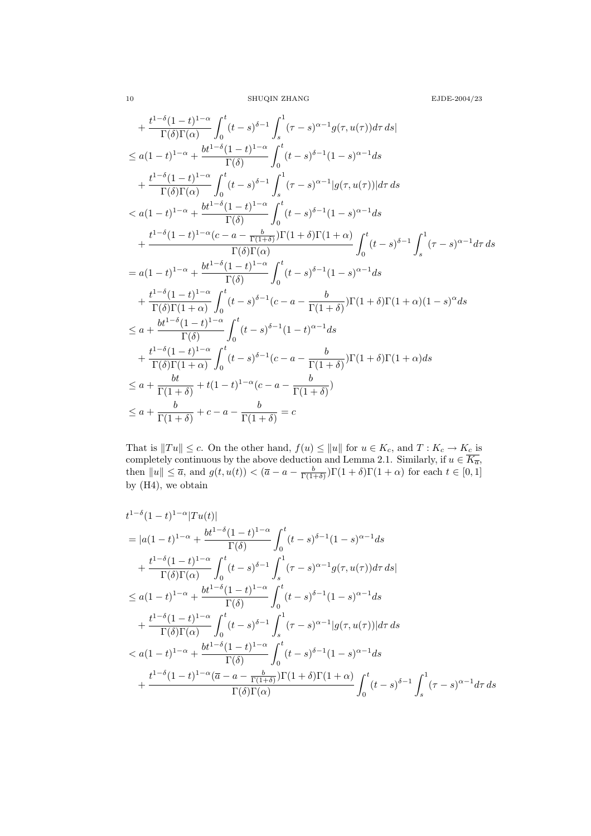10 SHUQIN ZHANG EJDE-2004/23

$$
+ \frac{t^{1-\delta}(1-t)^{1-\alpha}}{\Gamma(\delta)\Gamma(\alpha)} \int_{0}^{t} (t-s)^{\delta-1} \int_{s}^{1} (\tau-s)^{\alpha-1} g(\tau, u(\tau)) d\tau ds|
$$
  
\n
$$
\leq a(1-t)^{1-\alpha} + \frac{bt^{1-\delta}(1-t)^{1-\alpha}}{\Gamma(\delta)} \int_{0}^{t} (t-s)^{\delta-1} (1-s)^{\alpha-1} ds
$$
  
\n
$$
+ \frac{t^{1-\delta}(1-t)^{1-\alpha}}{\Gamma(\delta)\Gamma(\alpha)} \int_{0}^{t} (t-s)^{\delta-1} \int_{s}^{1} (\tau-s)^{\alpha-1} |g(\tau, u(\tau))| d\tau ds
$$
  
\n
$$
< a(1-t)^{1-\alpha} + \frac{bt^{1-\delta}(1-t)^{1-\alpha}}{\Gamma(\delta)} \int_{0}^{t} (t-s)^{\delta-1} (1-s)^{\alpha-1} ds
$$
  
\n
$$
+ \frac{t^{1-\delta}(1-t)^{1-\alpha}(c-a-\frac{b}{\Gamma(1+\delta))}\Gamma(1+\delta)\Gamma(1+\alpha)}{\Gamma(\delta)\Gamma(\alpha)} \int_{0}^{t} (t-s)^{\delta-1} \int_{s}^{1} (\tau-s)^{\alpha-1} d\tau ds
$$
  
\n
$$
= a(1-t)^{1-\alpha} + \frac{bt^{1-\delta}(1-t)^{1-\alpha}}{\Gamma(\delta)} \int_{0}^{t} (t-s)^{\delta-1} (1-s)^{\alpha-1} ds
$$
  
\n
$$
+ \frac{t^{1-\delta}(1-t)^{1-\alpha}}{\Gamma(\delta)\Gamma(1+\alpha)} \int_{0}^{t} (t-s)^{\delta-1}(c-a-\frac{b}{\Gamma(1+\delta)})\Gamma(1+\delta)\Gamma(1+\alpha)(1-s)^{\alpha} ds
$$
  
\n
$$
\leq a + \frac{bt^{1-\delta}(1-t)^{1-\alpha}}{\Gamma(\delta)} \int_{0}^{t} (t-s)^{\delta-1}(1-t)^{\alpha-1} ds
$$
  
\n
$$
+ \frac{t^{1-\delta}(1-t)^{1-\alpha}}{\Gamma(\delta)\Gamma(1+\alpha)} \int_{0}^{t} (t-s)^{\delta-1}(1-t)^{\alpha-1} ds
$$
  
\n
$$
\leq a + \frac{bt}{\Gamma(1+\delta)} + t(1-t)^{1-\alpha}(c-a-\frac{b}{\Gamma(1+\delta
$$

That is  $||Tu|| \leq c$ . On the other hand,  $f(u) \leq ||u||$  for  $u \in K_c$ , and  $T : K_c \to K_c$  is completely continuous by the above deduction and Lemma 2.1. Similarly, if  $u \in \overline{K_{\overline{a}}},$ then  $||u|| \leq \overline{a}$ , and  $g(t, u(t)) < (\overline{a} - a - \frac{b}{\Gamma(1+\delta)})\Gamma(1+\delta)\Gamma(1+\alpha)$  for each  $t \in [0, 1]$ by (H4), we obtain

$$
t^{1-\delta}(1-t)^{1-\alpha}|Tu(t)|
$$
\n
$$
=|a(1-t)^{1-\alpha} + \frac{bt^{1-\delta}(1-t)^{1-\alpha}}{\Gamma(\delta)} \int_0^t (t-s)^{\delta-1}(1-s)^{\alpha-1}ds
$$
\n
$$
+ \frac{t^{1-\delta}(1-t)^{1-\alpha}}{\Gamma(\delta)\Gamma(\alpha)} \int_0^t (t-s)^{\delta-1} \int_s^1 (\tau-s)^{\alpha-1}g(\tau,u(\tau))d\tau ds|
$$
\n
$$
\leq a(1-t)^{1-\alpha} + \frac{bt^{1-\delta}(1-t)^{1-\alpha}}{\Gamma(\delta)} \int_0^t (t-s)^{\delta-1}(1-s)^{\alpha-1}ds
$$
\n
$$
+ \frac{t^{1-\delta}(1-t)^{1-\alpha}}{\Gamma(\delta)\Gamma(\alpha)} \int_0^t (t-s)^{\delta-1} \int_s^1 (\tau-s)^{\alpha-1}|g(\tau,u(\tau))|d\tau ds
$$
\n
$$
< a(1-t)^{1-\alpha} + \frac{bt^{1-\delta}(1-t)^{1-\alpha}}{\Gamma(\delta)} \int_0^t (t-s)^{\delta-1}(1-s)^{\alpha-1}ds
$$
\n
$$
+ \frac{t^{1-\delta}(1-t)^{1-\alpha}(\overline{a}-a-\frac{b}{\Gamma(1+\delta)})\Gamma(1+\delta)\Gamma(1+\alpha)}{\Gamma(\delta)\Gamma(\alpha)} \int_0^t (t-s)^{\delta-1} \int_s^t (\tau-s)^{\delta-1} \int_s^1 (\tau-s)^{\alpha-1}d\tau ds
$$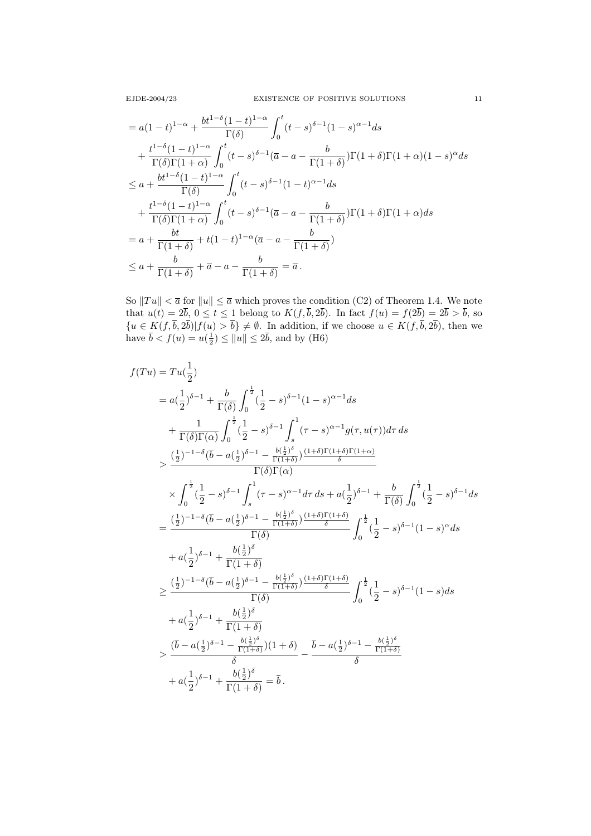$$
= a(1-t)^{1-\alpha} + \frac{bt^{1-\delta}(1-t)^{1-\alpha}}{\Gamma(\delta)} \int_0^t (t-s)^{\delta-1}(1-s)^{\alpha-1}ds
$$
  
+ 
$$
\frac{t^{1-\delta}(1-t)^{1-\alpha}}{\Gamma(\delta)\Gamma(1+\alpha)} \int_0^t (t-s)^{\delta-1}(\overline{a}-a-\frac{b}{\Gamma(1+\delta)})\Gamma(1+\delta)\Gamma(1+\alpha)(1-s)^{\alpha}ds
$$
  

$$
\leq a + \frac{bt^{1-\delta}(1-t)^{1-\alpha}}{\Gamma(\delta)} \int_0^t (t-s)^{\delta-1}(1-t)^{\alpha-1}ds
$$
  
+ 
$$
\frac{t^{1-\delta}(1-t)^{1-\alpha}}{\Gamma(\delta)\Gamma(1+\alpha)} \int_0^t (t-s)^{\delta-1}(\overline{a}-a-\frac{b}{\Gamma(1+\delta)})\Gamma(1+\delta)\Gamma(1+\alpha)ds
$$
  
= 
$$
a + \frac{bt}{\Gamma(1+\delta)} + t(1-t)^{1-\alpha}(\overline{a}-a-\frac{b}{\Gamma(1+\delta)})
$$
  

$$
\leq a + \frac{b}{\Gamma(1+\delta)} + \overline{a}-a-\frac{b}{\Gamma(1+\delta)} = \overline{a}.
$$

So  $||Tu|| < \overline{a}$  for  $||u|| \leq \overline{a}$  which proves the condition (C2) of Theorem 1.4. We note that  $u(t) = 2b, 0 \le t \le 1$  belong to  $K(f, b, 2b)$ . In fact  $f(u) = f(2b) = 2b > b$ , so  ${u \in K(f, b, 2b)|f(u) > b} \neq \emptyset$ . In addition, if we choose  $u \in K(f, b, 2b)$ , then we have  $\bar{b} < f(u) = u(\frac{1}{2}) \le ||u|| \le 2\bar{b}$ , and by (H6)

$$
f(Tu) = Tu(\frac{1}{2})
$$
  
\n
$$
= a(\frac{1}{2})^{\delta-1} + \frac{b}{\Gamma(\delta)} \int_0^{\frac{1}{2}} (\frac{1}{2} - s)^{\delta-1} (1 - s)^{\alpha-1} ds
$$
  
\n
$$
+ \frac{1}{\Gamma(\delta)\Gamma(\alpha)} \int_0^{\frac{1}{2}} (\frac{1}{2} - s)^{\delta-1} \int_s^1 (\tau - s)^{\alpha-1} g(\tau, u(\tau)) d\tau ds
$$
  
\n
$$
> \frac{(\frac{1}{2})^{-1-\delta} (\bar{b} - a(\frac{1}{2})^{\delta-1} - \frac{b(\frac{1}{2})^{\delta}}{\Gamma(\delta)\Gamma(\alpha)})}{\Gamma(\delta)\Gamma(\alpha)}
$$
  
\n
$$
\times \int_0^{\frac{1}{2}} (\frac{1}{2} - s)^{\delta-1} \int_s^1 (\tau - s)^{\alpha-1} d\tau ds + a(\frac{1}{2})^{\delta-1} + \frac{b}{\Gamma(\delta)} \int_0^{\frac{1}{2}} (\frac{1}{2} - s)^{\delta-1} ds
$$
  
\n
$$
= \frac{(\frac{1}{2})^{-1-\delta} (\bar{b} - a(\frac{1}{2})^{\delta-1} - \frac{b(\frac{1}{2})^{\delta}}{\Gamma(\delta)})}{\Gamma(\delta)}
$$
  
\n
$$
+ a(\frac{1}{2})^{\delta-1} + \frac{b(\frac{1}{2})^{\delta}}{\Gamma(1+\delta)}
$$
  
\n
$$
\geq \frac{(\frac{1}{2})^{-1-\delta} (\bar{b} - a(\frac{1}{2})^{\delta-1} - \frac{b(\frac{1}{2})^{\delta}}{\Gamma(1+\delta)})}{\Gamma(\delta)}
$$
  
\n
$$
+ a(\frac{1}{2})^{\delta-1} + \frac{b(\frac{1}{2})^{\delta}}{\Gamma(\delta)}
$$
  
\n
$$
+ a(\frac{1}{2})^{\delta-1} + \frac{b(\frac{1}{2})^{\delta}}{\Gamma(1+\delta)}
$$
  
\n
$$
= \frac{(\bar{b} - a(\frac{1}{2})^{\delta-1} - \frac{b(\frac{1}{2})^{\delta}}{\Gamma(1+\delta)})}{\delta}
$$
  
\n
$$
+ a(\frac{1}{2})^{\delta-1} + \frac{b(\frac{
$$